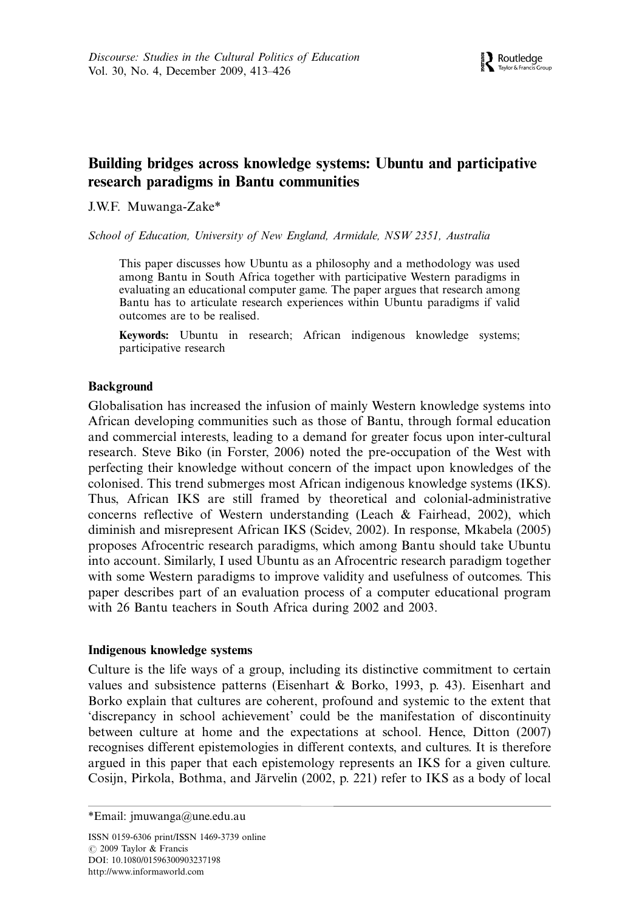# Building bridges across knowledge systems: Ubuntu and participative research paradigms in Bantu communities

J.W.F. Muwanga-Zake\*

School of Education, University of New England, Armidale, NSW 2351, Australia

This paper discusses how Ubuntu as a philosophy and a methodology was used among Bantu in South Africa together with participative Western paradigms in evaluating an educational computer game. The paper argues that research among Bantu has to articulate research experiences within Ubuntu paradigms if valid outcomes are to be realised.

Keywords: Ubuntu in research; African indigenous knowledge systems; participative research

## Background

Globalisation has increased the infusion of mainly Western knowledge systems into African developing communities such as those of Bantu, through formal education and commercial interests, leading to a demand for greater focus upon inter-cultural research. Steve Biko (in Forster, 2006) noted the pre-occupation of the West with perfecting their knowledge without concern of the impact upon knowledges of the colonised. This trend submerges most African indigenous knowledge systems (IKS). Thus, African IKS are still framed by theoretical and colonial-administrative concerns reflective of Western understanding (Leach & Fairhead, 2002), which diminish and misrepresent African IKS (Scidev, 2002). In response, Mkabela (2005) proposes Afrocentric research paradigms, which among Bantu should take Ubuntu into account. Similarly, I used Ubuntu as an Afrocentric research paradigm together with some Western paradigms to improve validity and usefulness of outcomes. This paper describes part of an evaluation process of a computer educational program with 26 Bantu teachers in South Africa during 2002 and 2003.

## Indigenous knowledge systems

Culture is the life ways of a group, including its distinctive commitment to certain values and subsistence patterns (Eisenhart & Borko, 1993, p. 43). Eisenhart and Borko explain that cultures are coherent, profound and systemic to the extent that 'discrepancy in school achievement' could be the manifestation of discontinuity between culture at home and the expectations at school. Hence, Ditton (2007) recognises different epistemologies in different contexts, and cultures. It is therefore argued in this paper that each epistemology represents an IKS for a given culture. Cosijn, Pirkola, Bothma, and Järvelin (2002, p. 221) refer to IKS as a body of local

<sup>\*</sup>Email: jmuwanga@une.edu.au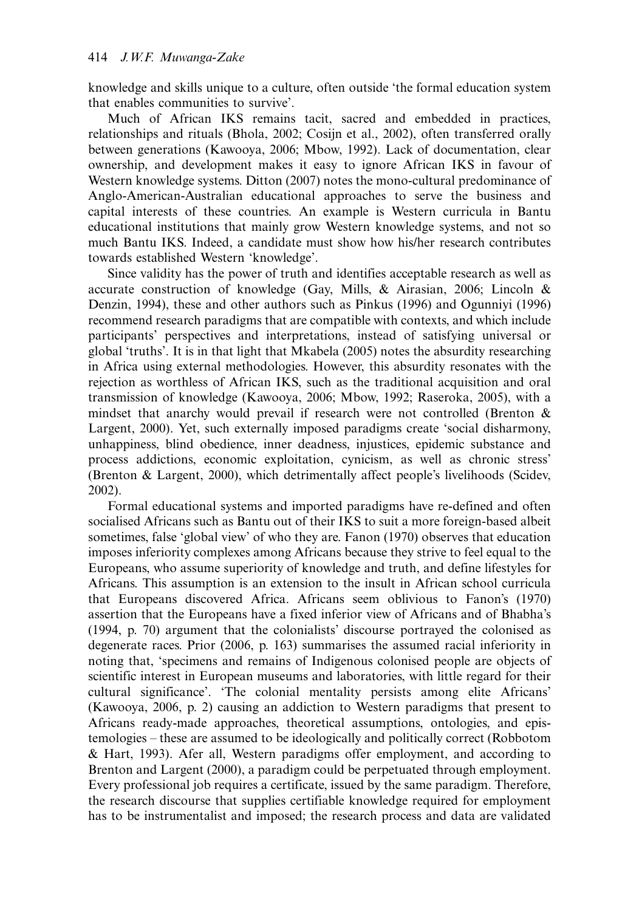knowledge and skills unique to a culture, often outside 'the formal education system that enables communities to survive'.

Much of African IKS remains tacit, sacred and embedded in practices, relationships and rituals (Bhola, 2002; Cosijn et al., 2002), often transferred orally between generations (Kawooya, 2006; Mbow, 1992). Lack of documentation, clear ownership, and development makes it easy to ignore African IKS in favour of Western knowledge systems. Ditton (2007) notes the mono-cultural predominance of Anglo-American-Australian educational approaches to serve the business and capital interests of these countries. An example is Western curricula in Bantu educational institutions that mainly grow Western knowledge systems, and not so much Bantu IKS. Indeed, a candidate must show how his/her research contributes towards established Western 'knowledge'.

Since validity has the power of truth and identifies acceptable research as well as accurate construction of knowledge (Gay, Mills, & Airasian, 2006; Lincoln & Denzin, 1994), these and other authors such as Pinkus (1996) and Ogunniyi (1996) recommend research paradigms that are compatible with contexts, and which include participants' perspectives and interpretations, instead of satisfying universal or global 'truths'. It is in that light that Mkabela (2005) notes the absurdity researching in Africa using external methodologies. However, this absurdity resonates with the rejection as worthless of African IKS, such as the traditional acquisition and oral transmission of knowledge (Kawooya, 2006; Mbow, 1992; Raseroka, 2005), with a mindset that anarchy would prevail if research were not controlled (Brenton & Largent, 2000). Yet, such externally imposed paradigms create 'social disharmony, unhappiness, blind obedience, inner deadness, injustices, epidemic substance and process addictions, economic exploitation, cynicism, as well as chronic stress' (Brenton & Largent, 2000), which detrimentally affect people's livelihoods (Scidev, 2002).

Formal educational systems and imported paradigms have re-defined and often socialised Africans such as Bantu out of their IKS to suit a more foreign-based albeit sometimes, false 'global view' of who they are. Fanon (1970) observes that education imposes inferiority complexes among Africans because they strive to feel equal to the Europeans, who assume superiority of knowledge and truth, and define lifestyles for Africans. This assumption is an extension to the insult in African school curricula that Europeans discovered Africa. Africans seem oblivious to Fanon's (1970) assertion that the Europeans have a fixed inferior view of Africans and of Bhabha's (1994, p. 70) argument that the colonialists' discourse portrayed the colonised as degenerate races. Prior (2006, p. 163) summarises the assumed racial inferiority in noting that, 'specimens and remains of Indigenous colonised people are objects of scientific interest in European museums and laboratories, with little regard for their cultural significance'. 'The colonial mentality persists among elite Africans' (Kawooya, 2006, p. 2) causing an addiction to Western paradigms that present to Africans ready-made approaches, theoretical assumptions, ontologies, and epistemologies these are assumed to be ideologically and politically correct (Robbotom & Hart, 1993). Afer all, Western paradigms offer employment, and according to Brenton and Largent (2000), a paradigm could be perpetuated through employment. Every professional job requires a certificate, issued by the same paradigm. Therefore, the research discourse that supplies certifiable knowledge required for employment has to be instrumentalist and imposed; the research process and data are validated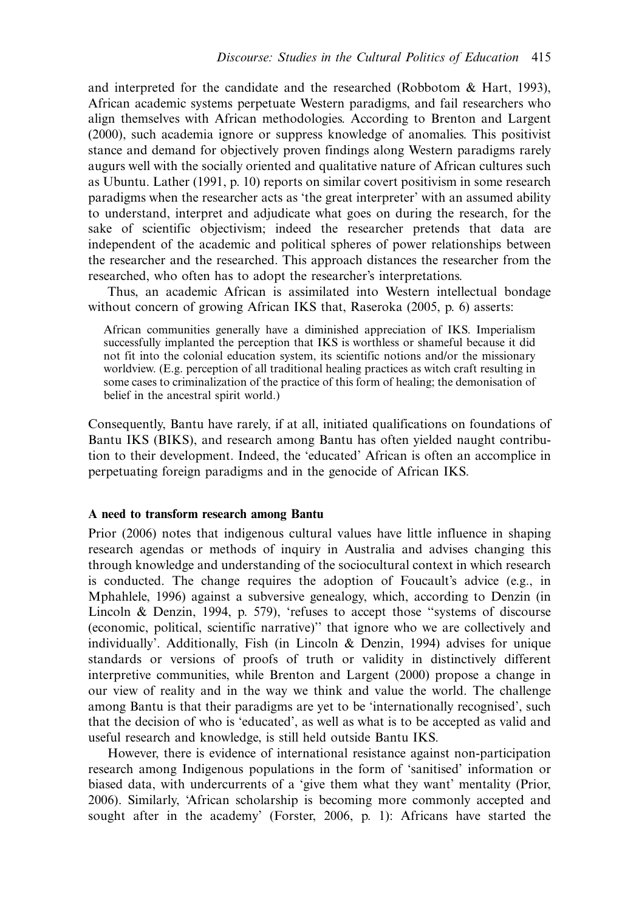and interpreted for the candidate and the researched (Robbotom & Hart, 1993), African academic systems perpetuate Western paradigms, and fail researchers who align themselves with African methodologies. According to Brenton and Largent (2000), such academia ignore or suppress knowledge of anomalies. This positivist stance and demand for objectively proven findings along Western paradigms rarely augurs well with the socially oriented and qualitative nature of African cultures such as Ubuntu. Lather (1991, p. 10) reports on similar covert positivism in some research paradigms when the researcher acts as 'the great interpreter' with an assumed ability to understand, interpret and adjudicate what goes on during the research, for the sake of scientific objectivism; indeed the researcher pretends that data are independent of the academic and political spheres of power relationships between the researcher and the researched. This approach distances the researcher from the researched, who often has to adopt the researcher's interpretations.

Thus, an academic African is assimilated into Western intellectual bondage without concern of growing African IKS that, Raseroka (2005, p. 6) asserts:

African communities generally have a diminished appreciation of IKS. Imperialism successfully implanted the perception that IKS is worthless or shameful because it did not fit into the colonial education system, its scientific notions and/or the missionary worldview. (E.g. perception of all traditional healing practices as witch craft resulting in some cases to criminalization of the practice of this form of healing; the demonisation of belief in the ancestral spirit world.)

Consequently, Bantu have rarely, if at all, initiated qualifications on foundations of Bantu IKS (BIKS), and research among Bantu has often yielded naught contribution to their development. Indeed, the 'educated' African is often an accomplice in perpetuating foreign paradigms and in the genocide of African IKS.

## A need to transform research among Bantu

Prior (2006) notes that indigenous cultural values have little influence in shaping research agendas or methods of inquiry in Australia and advises changing this through knowledge and understanding of the sociocultural context in which research is conducted. The change requires the adoption of Foucault's advice (e.g., in Mphahlele, 1996) against a subversive genealogy, which, according to Denzin (in Lincoln & Denzin, 1994, p. 579), 'refuses to accept those "systems of discourse (economic, political, scientific narrative)'' that ignore who we are collectively and individually'. Additionally, Fish (in Lincoln & Denzin, 1994) advises for unique standards or versions of proofs of truth or validity in distinctively different interpretive communities, while Brenton and Largent (2000) propose a change in our view of reality and in the way we think and value the world. The challenge among Bantu is that their paradigms are yet to be 'internationally recognised', such that the decision of who is 'educated', as well as what is to be accepted as valid and useful research and knowledge, is still held outside Bantu IKS.

However, there is evidence of international resistance against non-participation research among Indigenous populations in the form of 'sanitised' information or biased data, with undercurrents of a 'give them what they want' mentality (Prior, 2006). Similarly, 'African scholarship is becoming more commonly accepted and sought after in the academy' (Forster, 2006, p. 1): Africans have started the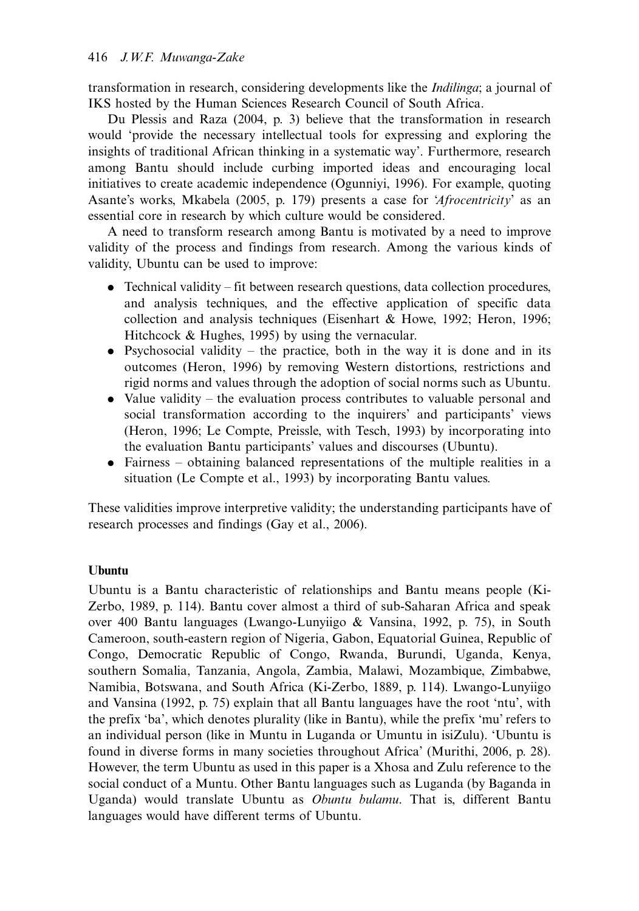transformation in research, considering developments like the Indilinga; a journal of IKS hosted by the Human Sciences Research Council of South Africa.

Du Plessis and Raza (2004, p. 3) believe that the transformation in research would 'provide the necessary intellectual tools for expressing and exploring the insights of traditional African thinking in a systematic way'. Furthermore, research among Bantu should include curbing imported ideas and encouraging local initiatives to create academic independence (Ogunniyi, 1996). For example, quoting Asante's works, Mkabela (2005, p. 179) presents a case for 'Afrocentricity' as an essential core in research by which culture would be considered.

A need to transform research among Bantu is motivated by a need to improve validity of the process and findings from research. Among the various kinds of validity, Ubuntu can be used to improve:

- $\bullet$  Technical validity fit between research questions, data collection procedures, and analysis techniques, and the effective application of specific data collection and analysis techniques (Eisenhart & Howe, 1992; Heron, 1996; Hitchcock & Hughes, 1995) by using the vernacular.
- Psychosocial validity  $-$  the practice, both in the way it is done and in its outcomes (Heron, 1996) by removing Western distortions, restrictions and rigid norms and values through the adoption of social norms such as Ubuntu.
- $\bullet$  Value validity the evaluation process contributes to valuable personal and social transformation according to the inquirers' and participants' views (Heron, 1996; Le Compte, Preissle, with Tesch, 1993) by incorporating into the evaluation Bantu participants' values and discourses (Ubuntu).
- Fairness obtaining balanced representations of the multiple realities in a situation (Le Compte et al., 1993) by incorporating Bantu values.

These validities improve interpretive validity; the understanding participants have of research processes and findings (Gay et al., 2006).

## Ubuntu

Ubuntu is a Bantu characteristic of relationships and Bantu means people (Ki-Zerbo, 1989, p. 114). Bantu cover almost a third of sub-Saharan Africa and speak over 400 Bantu languages (Lwango-Lunyiigo & Vansina, 1992, p. 75), in South Cameroon, south-eastern region of Nigeria, Gabon, Equatorial Guinea, Republic of Congo, Democratic Republic of Congo, Rwanda, Burundi, Uganda, Kenya, southern Somalia, Tanzania, Angola, Zambia, Malawi, Mozambique, Zimbabwe, Namibia, Botswana, and South Africa (Ki-Zerbo, 1889, p. 114). Lwango-Lunyiigo and Vansina (1992, p. 75) explain that all Bantu languages have the root 'ntu', with the prefix 'ba', which denotes plurality (like in Bantu), while the prefix 'mu' refers to an individual person (like in Muntu in Luganda or Umuntu in isiZulu). 'Ubuntu is found in diverse forms in many societies throughout Africa' (Murithi, 2006, p. 28). However, the term Ubuntu as used in this paper is a Xhosa and Zulu reference to the social conduct of a Muntu. Other Bantu languages such as Luganda (by Baganda in Uganda) would translate Ubuntu as Obuntu bulamu. That is, different Bantu languages would have different terms of Ubuntu.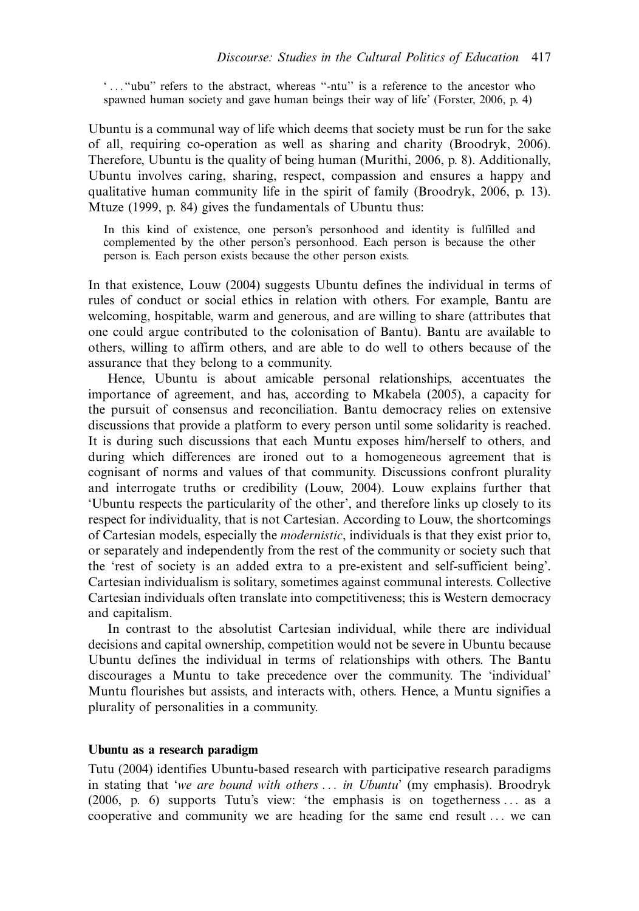' ...''ubu'' refers to the abstract, whereas ''-ntu'' is a reference to the ancestor who spawned human society and gave human beings their way of life' (Forster, 2006, p. 4)

Ubuntu is a communal way of life which deems that society must be run for the sake of all, requiring co-operation as well as sharing and charity (Broodryk, 2006). Therefore, Ubuntu is the quality of being human (Murithi, 2006, p. 8). Additionally, Ubuntu involves caring, sharing, respect, compassion and ensures a happy and qualitative human community life in the spirit of family (Broodryk, 2006, p. 13). Mtuze (1999, p. 84) gives the fundamentals of Ubuntu thus:

In this kind of existence, one person's personhood and identity is fulfilled and complemented by the other person's personhood. Each person is because the other person is. Each person exists because the other person exists.

In that existence, Louw (2004) suggests Ubuntu defines the individual in terms of rules of conduct or social ethics in relation with others. For example, Bantu are welcoming, hospitable, warm and generous, and are willing to share (attributes that one could argue contributed to the colonisation of Bantu). Bantu are available to others, willing to affirm others, and are able to do well to others because of the assurance that they belong to a community.

Hence, Ubuntu is about amicable personal relationships, accentuates the importance of agreement, and has, according to Mkabela (2005), a capacity for the pursuit of consensus and reconciliation. Bantu democracy relies on extensive discussions that provide a platform to every person until some solidarity is reached. It is during such discussions that each Muntu exposes him/herself to others, and during which differences are ironed out to a homogeneous agreement that is cognisant of norms and values of that community. Discussions confront plurality and interrogate truths or credibility (Louw, 2004). Louw explains further that 'Ubuntu respects the particularity of the other', and therefore links up closely to its respect for individuality, that is not Cartesian. According to Louw, the shortcomings of Cartesian models, especially the modernistic, individuals is that they exist prior to, or separately and independently from the rest of the community or society such that the 'rest of society is an added extra to a pre-existent and self-sufficient being'. Cartesian individualism is solitary, sometimes against communal interests. Collective Cartesian individuals often translate into competitiveness; this is Western democracy and capitalism.

In contrast to the absolutist Cartesian individual, while there are individual decisions and capital ownership, competition would not be severe in Ubuntu because Ubuntu defines the individual in terms of relationships with others. The Bantu discourages a Muntu to take precedence over the community. The 'individual' Muntu flourishes but assists, and interacts with, others. Hence, a Muntu signifies a plurality of personalities in a community.

### Ubuntu as a research paradigm

Tutu (2004) identifies Ubuntu-based research with participative research paradigms in stating that 'we are bound with others  $\dots$  in Ubuntu' (my emphasis). Broodryk (2006, p. 6) supports Tutu's view: 'the emphasis is on togetherness ... as a cooperative and community we are heading for the same end result ... we can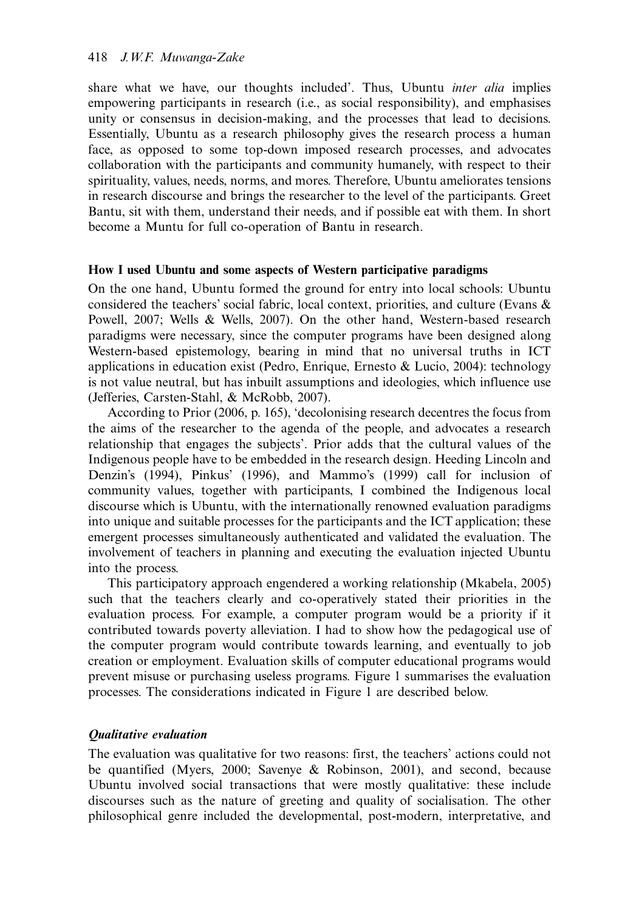share what we have, our thoughts included'. Thus, Ubuntu *inter alia* implies empowering participants in research (i.e., as social responsibility), and emphasises unity or consensus in decision-making, and the processes that lead to decisions. Essentially, Ubuntu as a research philosophy gives the research process a human face, as opposed to some top-down imposed research processes, and advocates collaboration with the participants and community humanely, with respect to their spirituality, values, needs, norms, and mores. Therefore, Ubuntu ameliorates tensions in research discourse and brings the researcher to the level of the participants. Greet Bantu, sit with them, understand their needs, and if possible eat with them. In short become a Muntu for full co-operation of Bantu in research.

#### How I used Ubuntu and some aspects of Western participative paradigms

On the one hand, Ubuntu formed the ground for entry into local schools: Ubuntu considered the teachers' social fabric, local context, priorities, and culture (Evans & Powell, 2007; Wells & Wells, 2007). On the other hand, Western-based research paradigms were necessary, since the computer programs have been designed along Western-based epistemology, bearing in mind that no universal truths in ICT applications in education exist (Pedro, Enrique, Ernesto & Lucio, 2004): technology is not value neutral, but has inbuilt assumptions and ideologies, which influence use (Jefferies, Carsten-Stahl, & McRobb, 2007).

According to Prior (2006, p. 165), 'decolonising research decentres the focus from the aims of the researcher to the agenda of the people, and advocates a research relationship that engages the subjects'. Prior adds that the cultural values of the Indigenous people have to be embedded in the research design. Heeding Lincoln and Denzin's (1994), Pinkus' (1996), and Mammo's (1999) call for inclusion of community values, together with participants, I combined the Indigenous local discourse which is Ubuntu, with the internationally renowned evaluation paradigms into unique and suitable processes for the participants and the ICT application; these emergent processes simultaneously authenticated and validated the evaluation. The involvement of teachers in planning and executing the evaluation injected Ubuntu into the process.

This participatory approach engendered a working relationship (Mkabela, 2005) such that the teachers clearly and co-operatively stated their priorities in the evaluation process. For example, a computer program would be a priority if it contributed towards poverty alleviation. I had to show how the pedagogical use of the computer program would contribute towards learning, and eventually to job creation or employment. Evaluation skills of computer educational programs would prevent misuse or purchasing useless programs. Figure 1 summarises the evaluation processes. The considerations indicated in Figure 1 are described below.

## Qualitative evaluation

The evaluation was qualitative for two reasons: first, the teachers' actions could not be quantified (Myers, 2000; Savenye & Robinson, 2001), and second, because Ubuntu involved social transactions that were mostly qualitative: these include discourses such as the nature of greeting and quality of socialisation. The other philosophical genre included the developmental, post-modern, interpretative, and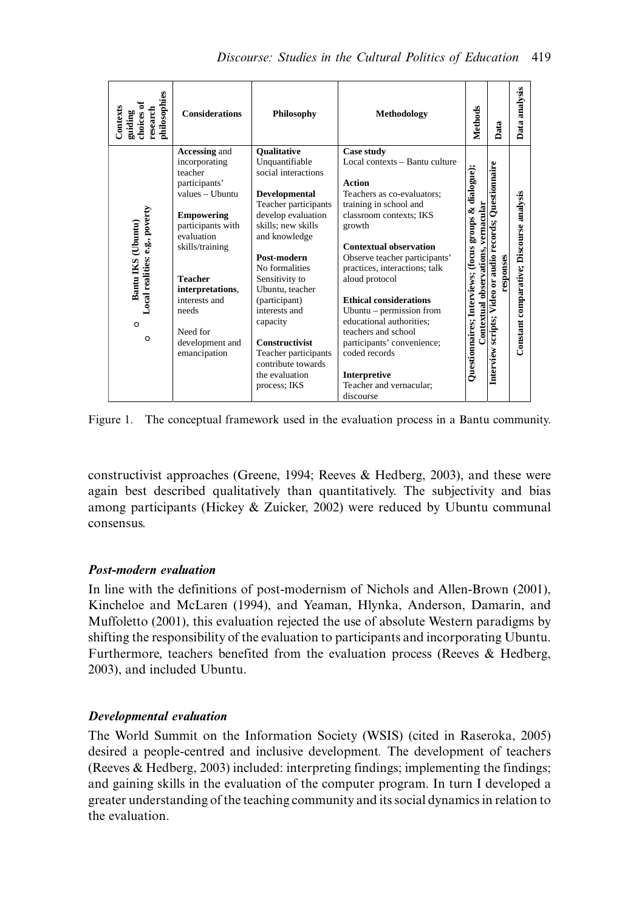| philosophies<br>choices of<br>research<br>Contexts<br>$\boldsymbol{\mathrm{guiding}}$ | <b>Considerations</b>                                                                                                                                                                                                                                                          | Philosophy                                                                                                                                                                                                                                                                                                                                                                              | <b>Methodology</b>                                                                                                                                                                                                                                                                                                                                                                                                                                                                                       | Methods                                                                                       | Data                                                                  | Data analysis                            |
|---------------------------------------------------------------------------------------|--------------------------------------------------------------------------------------------------------------------------------------------------------------------------------------------------------------------------------------------------------------------------------|-----------------------------------------------------------------------------------------------------------------------------------------------------------------------------------------------------------------------------------------------------------------------------------------------------------------------------------------------------------------------------------------|----------------------------------------------------------------------------------------------------------------------------------------------------------------------------------------------------------------------------------------------------------------------------------------------------------------------------------------------------------------------------------------------------------------------------------------------------------------------------------------------------------|-----------------------------------------------------------------------------------------------|-----------------------------------------------------------------------|------------------------------------------|
| Local realities: e.g., poverty<br>Bantu IKS (Ubuntu)<br>O<br>$\circ$                  | <b>Accessing and</b><br>incorporating<br>teacher<br>participants'<br>values - Ubuntu<br><b>Empowering</b><br>participants with<br>evaluation<br>skills/training<br><b>Teacher</b><br>interpretations,<br>interests and<br>needs<br>Need for<br>development and<br>emancipation | Qualitative<br>Unquantifiable<br>social interactions<br><b>Developmental</b><br>Teacher participants<br>develop evaluation<br>skills; new skills<br>and knowledge<br>Post-modern<br>No formalities<br>Sensitivity to<br>Ubuntu, teacher<br>(participant)<br>interests and<br>capacity<br>Constructivist<br>Teacher participants<br>contribute towards<br>the evaluation<br>process; IKS | <b>Case study</b><br>Local contexts - Bantu culture<br>Action<br>Teachers as co-evaluators;<br>training in school and<br>classroom contexts; IKS<br>growth<br><b>Contextual observation</b><br>Observe teacher participants'<br>practices, interactions; talk<br>aloud protocol<br><b>Ethical considerations</b><br>Ubuntu $-$ permission from<br>educational authorities;<br>teachers and school<br>participants' convenience;<br>coded records<br>Interpretive<br>Teacher and vernacular;<br>discourse | Questionnaires; Interviews; (focus groups & dialogue);<br>Contextual observations, vernacular | Interview scripts; Video or audio records; Questionnaire<br>responses | Constant comparative; Discourse analysis |
| consensus.<br><b>Post-modern evaluation</b>                                           |                                                                                                                                                                                                                                                                                |                                                                                                                                                                                                                                                                                                                                                                                         | constructivist approaches (Greene, 1994; Reeves & Hedberg, 2003), and these w<br>again best described qualitatively than quantitatively. The subjectivity and b<br>among participants (Hickey & Zuicker, 2002) were reduced by Ubuntu commu<br>In line with the definitions of post-modernism of Nichols and Allen-Brown (20<br>Kincheloe and McLaren (1994), and Yeaman, Hlynka, Anderson, Damarin, a<br>Muffoletto (2001), this evaluation rejected the use of absolute Western paradigms              |                                                                                               |                                                                       |                                          |
|                                                                                       | 2003), and included Ubuntu.                                                                                                                                                                                                                                                    |                                                                                                                                                                                                                                                                                                                                                                                         | shifting the responsibility of the evaluation to participants and incorporating Ubur<br>Furthermore, teachers benefited from the evaluation process (Reeves & Hedbe                                                                                                                                                                                                                                                                                                                                      |                                                                                               |                                                                       |                                          |
| <b>Developmental evaluation</b>                                                       |                                                                                                                                                                                                                                                                                |                                                                                                                                                                                                                                                                                                                                                                                         |                                                                                                                                                                                                                                                                                                                                                                                                                                                                                                          |                                                                                               |                                                                       |                                          |
| the evaluation.                                                                       |                                                                                                                                                                                                                                                                                |                                                                                                                                                                                                                                                                                                                                                                                         | The World Summit on the Information Society (WSIS) (cited in Raseroka, 20<br>desired a people-centred and inclusive development. The development of teach<br>(Reeves $\&$ Hedberg, 2003) included: interpreting findings; implementing the findin<br>and gaining skills in the evaluation of the computer program. In turn I develope<br>greater understanding of the teaching community and its social dynamics in relation                                                                             |                                                                                               |                                                                       |                                          |

Figure 1. The conceptual framework used in the evaluation process in a Bantu community.

## Post-modern evaluation

## Developmental evaluation

The World Summit on the Information Society (WSIS) (cited in Raseroka, 2005) desired a people-centred and inclusive development. The development of teachers (Reeves & Hedberg, 2003) included: interpreting findings; implementing the findings; and gaining skills in the evaluation of the computer program. In turn I developed a greater understanding of the teaching community and its social dynamics in relation to the evaluation.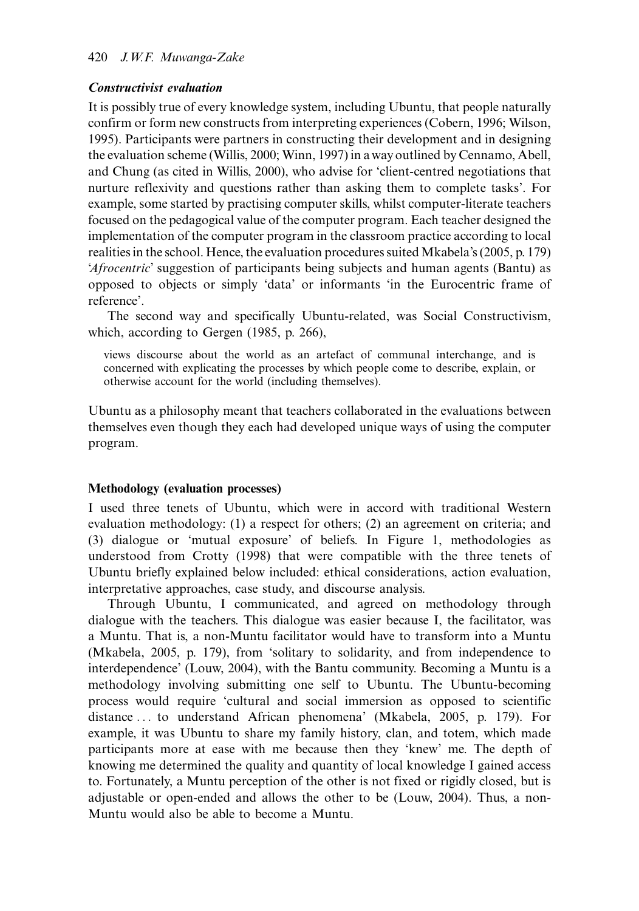## 420 J.W.F. Muwanga-Zake

## Constructivist evaluation

It is possibly true of every knowledge system, including Ubuntu, that people naturally confirm or form new constructs from interpreting experiences (Cobern, 1996; Wilson, 1995). Participants were partners in constructing their development and in designing the evaluation scheme (Willis, 2000; Winn, 1997) in a way outlined by Cennamo, Abell, and Chung (as cited in Willis, 2000), who advise for 'client-centred negotiations that nurture reflexivity and questions rather than asking them to complete tasks'. For example, some started by practising computer skills, whilst computer-literate teachers focused on the pedagogical value of the computer program. Each teacher designed the implementation of the computer program in the classroom practice according to local realities in the school. Hence, the evaluation procedures suited Mkabela's (2005, p. 179) 'Afrocentric' suggestion of participants being subjects and human agents (Bantu) as opposed to objects or simply 'data' or informants 'in the Eurocentric frame of reference'.

The second way and specifically Ubuntu-related, was Social Constructivism, which, according to Gergen (1985, p. 266),

views discourse about the world as an artefact of communal interchange, and is concerned with explicating the processes by which people come to describe, explain, or otherwise account for the world (including themselves).

Ubuntu as a philosophy meant that teachers collaborated in the evaluations between themselves even though they each had developed unique ways of using the computer program.

## Methodology (evaluation processes)

I used three tenets of Ubuntu, which were in accord with traditional Western evaluation methodology: (1) a respect for others; (2) an agreement on criteria; and (3) dialogue or 'mutual exposure' of beliefs. In Figure 1, methodologies as understood from Crotty (1998) that were compatible with the three tenets of Ubuntu briefly explained below included: ethical considerations, action evaluation, interpretative approaches, case study, and discourse analysis.

Through Ubuntu, I communicated, and agreed on methodology through dialogue with the teachers. This dialogue was easier because I, the facilitator, was a Muntu. That is, a non-Muntu facilitator would have to transform into a Muntu (Mkabela, 2005, p. 179), from 'solitary to solidarity, and from independence to interdependence' (Louw, 2004), with the Bantu community. Becoming a Muntu is a methodology involving submitting one self to Ubuntu. The Ubuntu-becoming process would require 'cultural and social immersion as opposed to scientific distance ... to understand African phenomena' (Mkabela, 2005, p. 179). For example, it was Ubuntu to share my family history, clan, and totem, which made participants more at ease with me because then they 'knew' me. The depth of knowing me determined the quality and quantity of local knowledge I gained access to. Fortunately, a Muntu perception of the other is not fixed or rigidly closed, but is adjustable or open-ended and allows the other to be (Louw, 2004). Thus, a non-Muntu would also be able to become a Muntu.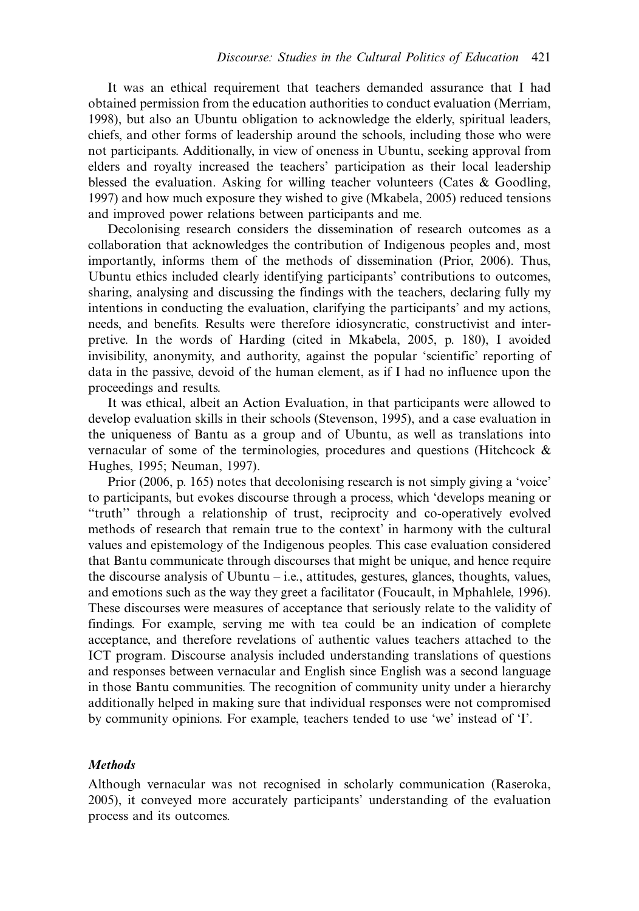It was an ethical requirement that teachers demanded assurance that I had obtained permission from the education authorities to conduct evaluation (Merriam, 1998), but also an Ubuntu obligation to acknowledge the elderly, spiritual leaders, chiefs, and other forms of leadership around the schools, including those who were not participants. Additionally, in view of oneness in Ubuntu, seeking approval from elders and royalty increased the teachers' participation as their local leadership blessed the evaluation. Asking for willing teacher volunteers (Cates & Goodling, 1997) and how much exposure they wished to give (Mkabela, 2005) reduced tensions and improved power relations between participants and me.

Decolonising research considers the dissemination of research outcomes as a collaboration that acknowledges the contribution of Indigenous peoples and, most importantly, informs them of the methods of dissemination (Prior, 2006). Thus, Ubuntu ethics included clearly identifying participants' contributions to outcomes, sharing, analysing and discussing the findings with the teachers, declaring fully my intentions in conducting the evaluation, clarifying the participants' and my actions, needs, and benefits. Results were therefore idiosyncratic, constructivist and interpretive. In the words of Harding (cited in Mkabela, 2005, p. 180), I avoided invisibility, anonymity, and authority, against the popular 'scientific' reporting of data in the passive, devoid of the human element, as if I had no influence upon the proceedings and results.

It was ethical, albeit an Action Evaluation, in that participants were allowed to develop evaluation skills in their schools (Stevenson, 1995), and a case evaluation in the uniqueness of Bantu as a group and of Ubuntu, as well as translations into vernacular of some of the terminologies, procedures and questions (Hitchcock  $\&$ Hughes, 1995; Neuman, 1997).

Prior (2006, p. 165) notes that decolonising research is not simply giving a 'voice' to participants, but evokes discourse through a process, which 'develops meaning or ''truth'' through a relationship of trust, reciprocity and co-operatively evolved methods of research that remain true to the context' in harmony with the cultural values and epistemology of the Indigenous peoples. This case evaluation considered that Bantu communicate through discourses that might be unique, and hence require the discourse analysis of Ubuntu  $-i.e.,$  attitudes, gestures, glances, thoughts, values, and emotions such as the way they greet a facilitator (Foucault, in Mphahlele, 1996). These discourses were measures of acceptance that seriously relate to the validity of findings. For example, serving me with tea could be an indication of complete acceptance, and therefore revelations of authentic values teachers attached to the ICT program. Discourse analysis included understanding translations of questions and responses between vernacular and English since English was a second language in those Bantu communities. The recognition of community unity under a hierarchy additionally helped in making sure that individual responses were not compromised by community opinions. For example, teachers tended to use 'we' instead of 'I'.

### **Methods**

Although vernacular was not recognised in scholarly communication (Raseroka, 2005), it conveyed more accurately participants' understanding of the evaluation process and its outcomes.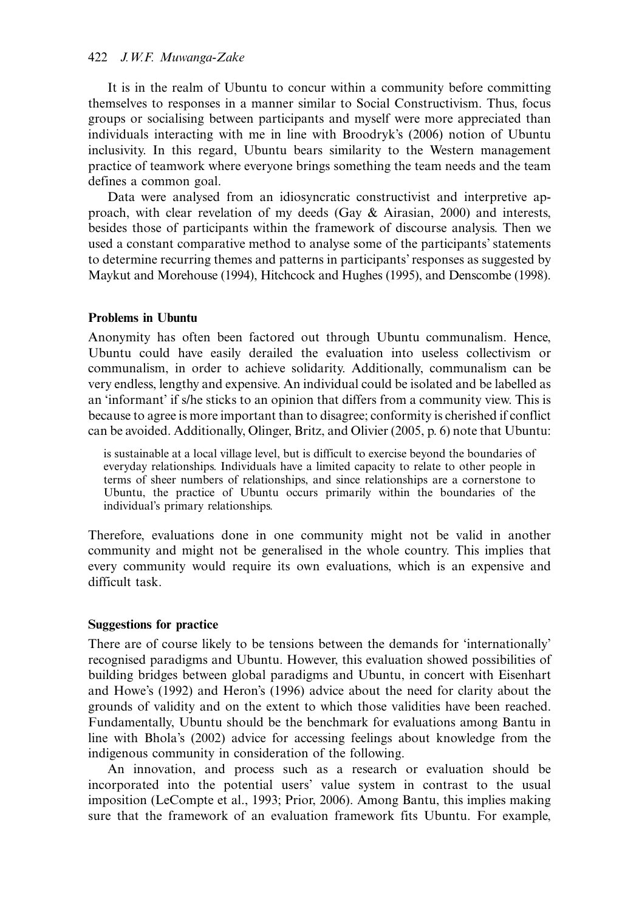It is in the realm of Ubuntu to concur within a community before committing themselves to responses in a manner similar to Social Constructivism. Thus, focus groups or socialising between participants and myself were more appreciated than individuals interacting with me in line with Broodryk's (2006) notion of Ubuntu inclusivity. In this regard, Ubuntu bears similarity to the Western management practice of teamwork where everyone brings something the team needs and the team defines a common goal.

Data were analysed from an idiosyncratic constructivist and interpretive approach, with clear revelation of my deeds (Gay & Airasian, 2000) and interests, besides those of participants within the framework of discourse analysis. Then we used a constant comparative method to analyse some of the participants' statements to determine recurring themes and patterns in participants'responses as suggested by Maykut and Morehouse (1994), Hitchcock and Hughes (1995), and Denscombe (1998).

#### Problems in Ubuntu

Anonymity has often been factored out through Ubuntu communalism. Hence, Ubuntu could have easily derailed the evaluation into useless collectivism or communalism, in order to achieve solidarity. Additionally, communalism can be very endless, lengthy and expensive. An individual could be isolated and be labelled as an 'informant' if s/he sticks to an opinion that differs from a community view. This is because to agree is more important than to disagree; conformity is cherished if conflict can be avoided. Additionally, Olinger, Britz, and Olivier (2005, p. 6) note that Ubuntu:

is sustainable at a local village level, but is difficult to exercise beyond the boundaries of everyday relationships. Individuals have a limited capacity to relate to other people in terms of sheer numbers of relationships, and since relationships are a cornerstone to Ubuntu, the practice of Ubuntu occurs primarily within the boundaries of the individual's primary relationships.

Therefore, evaluations done in one community might not be valid in another community and might not be generalised in the whole country. This implies that every community would require its own evaluations, which is an expensive and difficult task.

#### Suggestions for practice

There are of course likely to be tensions between the demands for 'internationally' recognised paradigms and Ubuntu. However, this evaluation showed possibilities of building bridges between global paradigms and Ubuntu, in concert with Eisenhart and Howe's (1992) and Heron's (1996) advice about the need for clarity about the grounds of validity and on the extent to which those validities have been reached. Fundamentally, Ubuntu should be the benchmark for evaluations among Bantu in line with Bhola's (2002) advice for accessing feelings about knowledge from the indigenous community in consideration of the following.

An innovation, and process such as a research or evaluation should be incorporated into the potential users' value system in contrast to the usual imposition (LeCompte et al., 1993; Prior, 2006). Among Bantu, this implies making sure that the framework of an evaluation framework fits Ubuntu. For example,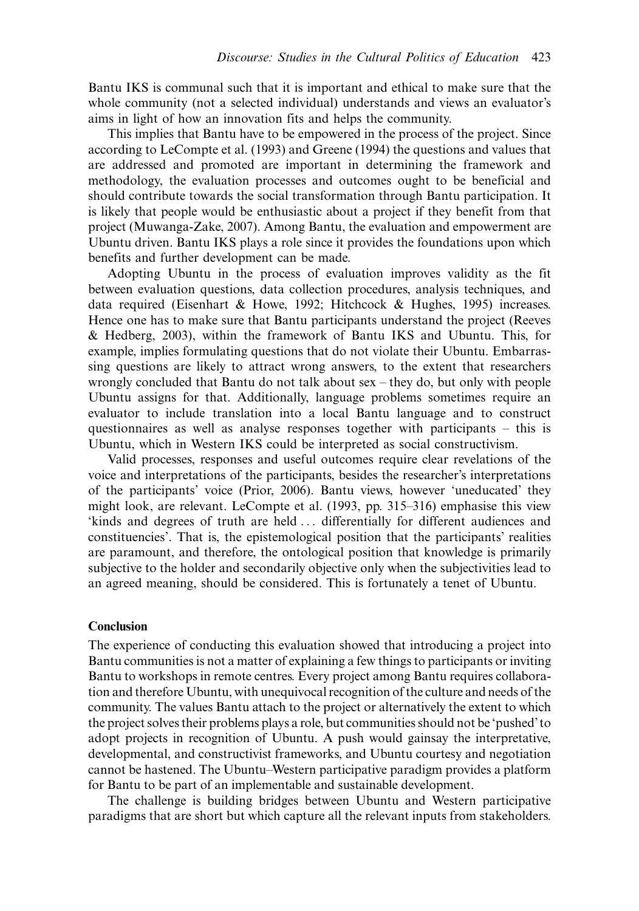Bantu IKS is communal such that it is important and ethical to make sure that the whole community (not a selected individual) understands and views an evaluator's aims in light of how an innovation fits and helps the community.

This implies that Bantu have to be empowered in the process of the project. Since according to LeCompte et al. (1993) and Greene (1994) the questions and values that are addressed and promoted are important in determining the framework and methodology, the evaluation processes and outcomes ought to be beneficial and should contribute towards the social transformation through Bantu participation. It is likely that people would be enthusiastic about a project if they benefit from that project (Muwanga-Zake, 2007). Among Bantu, the evaluation and empowerment are Ubuntu driven. Bantu IKS plays a role since it provides the foundations upon which benefits and further development can be made.

Adopting Ubuntu in the process of evaluation improves validity as the fit between evaluation questions, data collection procedures, analysis techniques, and data required (Eisenhart & Howe, 1992; Hitchcock & Hughes, 1995) increases. Hence one has to make sure that Bantu participants understand the project (Reeves & Hedberg, 2003), within the framework of Bantu IKS and Ubuntu. This, for example, implies formulating questions that do not violate their Ubuntu. Embarrassing questions are likely to attract wrong answers, to the extent that researchers wrongly concluded that Bantu do not talk about  $sex$  – they do, but only with people Ubuntu assigns for that. Additionally, language problems sometimes require an evaluator to include translation into a local Bantu language and to construct questionnaires as well as analyse responses together with participants  $-$  this is Ubuntu, which in Western IKS could be interpreted as social constructivism.

Valid processes, responses and useful outcomes require clear revelations of the voice and interpretations of the participants, besides the researcher's interpretations of the participants' voice (Prior, 2006). Bantu views, however 'uneducated' they might look, are relevant. LeCompte et al.  $(1993, pp. 315-316)$  emphasise this view 'kinds and degrees of truth are held ... differentially for different audiences and constituencies'. That is, the epistemological position that the participants' realities are paramount, and therefore, the ontological position that knowledge is primarily subjective to the holder and secondarily objective only when the subjectivities lead to an agreed meaning, should be considered. This is fortunately a tenet of Ubuntu.

#### Conclusion

The experience of conducting this evaluation showed that introducing a project into Bantu communities is not a matter of explaining a few things to participants or inviting Bantu to workshops in remote centres. Every project among Bantu requires collaboration and therefore Ubuntu, with unequivocal recognition of the culture and needs of the community. The values Bantu attach to the project or alternatively the extent to which the project solves their problems plays a role, but communities should not be 'pushed'to adopt projects in recognition of Ubuntu. A push would gainsay the interpretative, developmental, and constructivist frameworks, and Ubuntu courtesy and negotiation cannot be hastened. The Ubuntu–Western participative paradigm provides a platform for Bantu to be part of an implementable and sustainable development.

The challenge is building bridges between Ubuntu and Western participative paradigms that are short but which capture all the relevant inputs from stakeholders.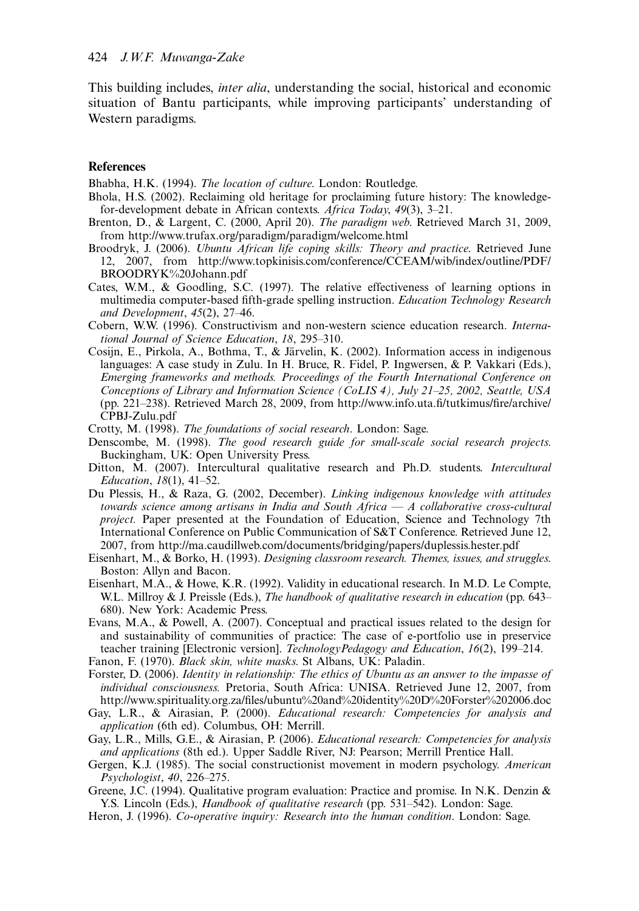This building includes, *inter alia*, understanding the social, historical and economic situation of Bantu participants, while improving participants' understanding of Western paradigms.

#### **References**

Bhabha, H.K. (1994). The location of culture. London: Routledge.

- Bhola, H.S. (2002). Reclaiming old heritage for proclaiming future history: The knowledgefor-development debate in African contexts. Africa Today, 49(3), 3–21.
- Brenton, D., & Largent, C. (2000, April 20). The paradigm web. Retrieved March 31, 2009, from<http://www.trufax.org/paradigm/paradigm/welcome.html>
- Broodryk, J. (2006). Ubuntu African life coping skills: Theory and practice. Retrieved June 12, 2007, from [http://www.topkinisis.com/conference/CCEAM/wib/index/outline/PDF/](http://www.topkinisis.com/conference/CCEAM/wib/index/outline/PDF/BROODRYK%20Johann.pdf) [BROODRYK%20Johann.pdf](http://www.topkinisis.com/conference/CCEAM/wib/index/outline/PDF/BROODRYK%20Johann.pdf)
- Cates, W.M., & Goodling, S.C. (1997). The relative effectiveness of learning options in multimedia computer-based fifth-grade spelling instruction. Education Technology Research and Development,  $45(2)$ ,  $27-46$ .
- Cobern, W.W. (1996). Constructivism and non-western science education research. International Journal of Science Education, 18, 295-310.
- Cosijn, E., Pirkola, A., Bothma, T., & Järvelin, K. (2002). Information access in indigenous languages: A case study in Zulu. In H. Bruce, R. Fidel, P. Ingwersen, & P. Vakkari (Eds.), Emerging frameworks and methods. Proceedings of the Fourth International Conference on Conceptions of Library and Information Science (CoLIS 4), July 21-25, 2002, Seattle, USA (pp. 221238). Retrieved March 28, 2009, from [http://www.info.uta.fi/tutkimus/fire/archive/](http://www.info.uta.fi/tutkimus/fire/archive/CPBJ-Zulu.pdf) [CPBJ-Zulu.pdf](http://www.info.uta.fi/tutkimus/fire/archive/CPBJ-Zulu.pdf)
- Crotty, M. (1998). The foundations of social research. London: Sage.
- Denscombe, M. (1998). The good research guide for small-scale social research projects. Buckingham, UK: Open University Press.
- Ditton, M. (2007). Intercultural qualitative research and Ph.D. students. Intercultural Education,  $18(1)$ ,  $41-52$ .
- Du Plessis, H., & Raza, G. (2002, December). Linking indigenous knowledge with attitudes towards science among artisans in India and South Africa  $- A$  collaborative cross-cultural project. Paper presented at the Foundation of Education, Science and Technology 7th International Conference on Public Communication of S&T Conference. Retrieved June 12, 2007, from<http://ma.caudillweb.com/documents/bridging/papers/duplessis.hester.pdf>
- Eisenhart, M., & Borko, H. (1993). Designing classroom research. Themes, issues, and struggles. Boston: Allyn and Bacon.
- Eisenhart, M.A., & Howe, K.R. (1992). Validity in educational research. In M.D. Le Compte, W.L. Millroy & J. Preissle (Eds.), The handbook of qualitative research in education (pp.  $643-$ 680). New York: Academic Press.
- Evans, M.A., & Powell, A. (2007). Conceptual and practical issues related to the design for and sustainability of communities of practice: The case of e-portfolio use in preservice teacher training [Electronic version]. TechnologyPedagogy and Education, 16(2), 199-214.
- Fanon, F. (1970). *Black skin, white masks*. St Albans, UK: Paladin.
- Forster, D. (2006). Identity in relationship: The ethics of Ubuntu as an answer to the impasse of individual consciousness. Pretoria, South Africa: UNISA. Retrieved June 12, 2007, from <http://www.spirituality.org.za/files/ubuntu%20and%20identity%20D%20Forster%202006.doc>
- Gay, L.R., & Airasian, P. (2000). Educational research: Competencies for analysis and application (6th ed). Columbus, OH: Merrill.
- Gay, L.R., Mills, G.E., & Airasian, P. (2006). Educational research: Competencies for analysis and applications (8th ed.). Upper Saddle River, NJ: Pearson; Merrill Prentice Hall.
- Gergen, K.J. (1985). The social constructionist movement in modern psychology. American  $Psychologist, 40, 226–275.$
- Greene, J.C. (1994). Qualitative program evaluation: Practice and promise. In N.K. Denzin & Y.S. Lincoln (Eds.), *Handbook of qualitative research* (pp. 531–542). London: Sage.
- Heron, J. (1996). Co-operative inquiry: Research into the human condition. London: Sage.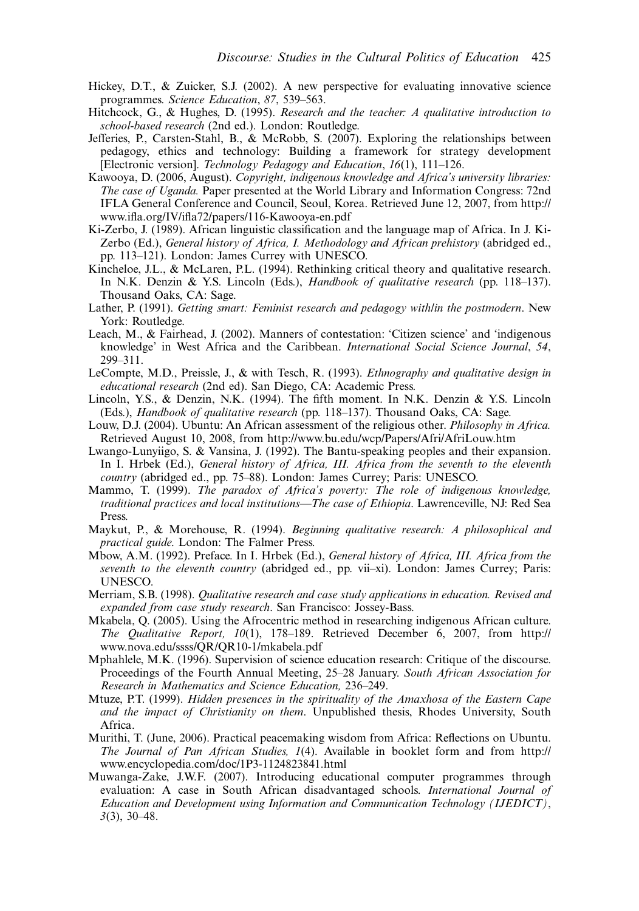- Hickey, D.T., & Zuicker, S.J. (2002). A new perspective for evaluating innovative science programmes. Science Education, 87, 539-563.
- Hitchcock, G., & Hughes, D. (1995). Research and the teacher: A qualitative introduction to school-based research (2nd ed.). London: Routledge.
- Jefferies, P., Carsten-Stahl, B., & McRobb, S. (2007). Exploring the relationships between pedagogy, ethics and technology: Building a framework for strategy development [Electronic version]. Technology Pedagogy and Education, 16(1), 111-126.
- Kawooya, D. (2006, August). Copyright, indigenous knowledge and Africa's university libraries: The case of Uganda. Paper presented at the World Library and Information Congress: 72nd IFLA General Conference and Council, Seoul, Korea. Retrieved June 12, 2007, from [http://](http://www.ifla.org/IV/ifla72/papers/116-Kawooya-en.pdf) [www.ifla.org/IV/ifla72/papers/116-Kawooya-en.pdf](http://www.ifla.org/IV/ifla72/papers/116-Kawooya-en.pdf)
- Ki-Zerbo, J. (1989). African linguistic classification and the language map of Africa. In J. Ki-Zerbo (Ed.), General history of Africa, I. Methodology and African prehistory (abridged ed., pp. 113-121). London: James Currey with UNESCO.
- Kincheloe, J.L., & McLaren, P.L. (1994). Rethinking critical theory and qualitative research. In N.K. Denzin & Y.S. Lincoln (Eds.), Handbook of qualitative research (pp.  $118-137$ ). Thousand Oaks, CA: Sage.
- Lather, P. (1991). Getting smart: Feminist research and pedagogy with/in the postmodern. New York: Routledge.
- Leach, M., & Fairhead, J. (2002). Manners of contestation: 'Citizen science' and 'indigenous knowledge' in West Africa and the Caribbean. International Social Science Journal, 54, 299311.
- LeCompte, M.D., Preissle, J., & with Tesch, R. (1993). Ethnography and qualitative design in educational research (2nd ed). San Diego, CA: Academic Press.
- Lincoln, Y.S., & Denzin, N.K. (1994). The fifth moment. In N.K. Denzin & Y.S. Lincoln (Eds.), Handbook of qualitative research (pp.  $118-137$ ). Thousand Oaks, CA: Sage.
- Louw, D.J. (2004). Ubuntu: An African assessment of the religious other. *Philosophy in Africa.* Retrieved August 10, 2008, from<http://www.bu.edu/wcp/Papers/Afri/AfriLouw.htm>
- Lwango-Lunyiigo, S. & Vansina, J. (1992). The Bantu-speaking peoples and their expansion. In I. Hrbek (Ed.), General history of Africa, III. Africa from the seventh to the eleventh country (abridged ed., pp. 75–88). London: James Currey; Paris: UNESCO.
- Mammo, T. (1999). The paradox of Africa's poverty: The role of indigenous knowledge, traditional practices and local institutions—The case of Ethiopia. Lawrenceville, NJ: Red Sea Press.
- Maykut, P., & Morehouse, R. (1994). Beginning qualitative research: A philosophical and practical guide. London: The Falmer Press.
- Mbow, A.M. (1992). Preface. In I. Hrbek (Ed.), General history of Africa, III. Africa from the seventh to the eleventh country (abridged ed., pp. vii-xi). London: James Currey; Paris: UNESCO.
- Merriam, S.B. (1998). Qualitative research and case study applications in education. Revised and expanded from case study research. San Francisco: Jossey-Bass.
- Mkabela, Q. (2005). Using the Afrocentric method in researching indigenous African culture. The Qualitative Report,  $10(1)$ , 178–189. Retrieved December 6, 2007, from [http://](http://www.nova.edu/ssss/QR/QR10-1/mkabela.pdf) [www.nova.edu/ssss/QR/QR10-1/mkabela.pdf](http://www.nova.edu/ssss/QR/QR10-1/mkabela.pdf)
- Mphahlele, M.K. (1996). Supervision of science education research: Critique of the discourse. Proceedings of the Fourth Annual Meeting, 25–28 January. South African Association for Research in Mathematics and Science Education, 236-249.
- Mtuze, P.T. (1999). Hidden presences in the spirituality of the Amaxhosa of the Eastern Cape and the impact of Christianity on them. Unpublished thesis, Rhodes University, South Africa.
- Murithi, T. (June, 2006). Practical peacemaking wisdom from Africa: Reflections on Ubuntu. The Journal of Pan African Studies, 1(4). Available in booklet form and from [http://](http://www.encyclopedia.com/doc/1P3-1124823841.html) [www.encyclopedia.com/doc/1P3-1124823841.html](http://www.encyclopedia.com/doc/1P3-1124823841.html)
- Muwanga-Zake, J.W.F. (2007). Introducing educational computer programmes through evaluation: A case in South African disadvantaged schools. International Journal of Education and Development using Information and Communication Technology (IJEDICT),  $3(3)$ ,  $30-48$ .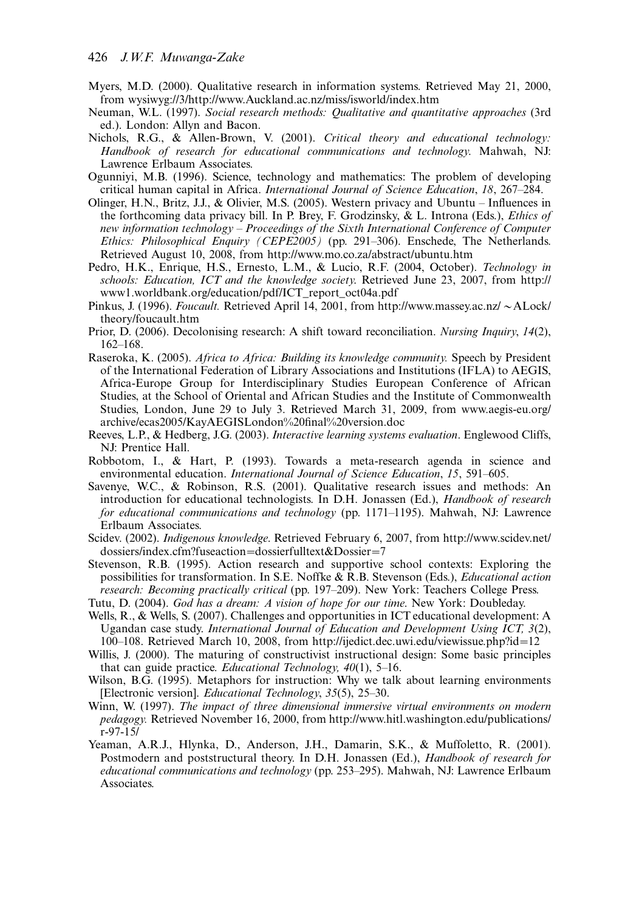- Myers, M.D. (2000). Qualitative research in information systems. Retrieved May 21, 2000, from<wysiwyg://3/http://www.Auckland.ac.nz/miss/isworld/index.htm>
- Neuman, W.L. (1997). Social research methods: Qualitative and quantitative approaches (3rd ed.). London: Allyn and Bacon.
- Nichols, R.G., & Allen-Brown, V. (2001). Critical theory and educational technology: Handbook of research for educational communications and technology. Mahwah, NJ: Lawrence Erlbaum Associates.
- Ogunniyi, M.B. (1996). Science, technology and mathematics: The problem of developing critical human capital in Africa. *International Journal of Science Education, 18, 267–284.*
- Olinger, H.N., Britz, J.J., & Olivier, M.S. (2005). Western privacy and Ubuntu Influences in the forthcoming data privacy bill. In P. Brey, F. Grodzinsky, & L. Introna (Eds.), Ethics of new information technology – Proceedings of the Sixth International Conference of Computer Ethics: Philosophical Enquiry (CEPE2005) (pp. 291–306). Enschede, The Netherlands. Retrieved August 10, 2008, from<http://www.mo.co.za/abstract/ubuntu.htm>
- Pedro, H.K., Enrique, H.S., Ernesto, L.M., & Lucio, R.F. (2004, October). Technology in schools: Education, ICT and the knowledge society. Retrieved June 23, 2007, from [http://](http://www1.worldbank.org/education/pdf/ICT_report_oct04a.pdf) [www1.worldbank.org/education/pdf/ICT\\_report\\_oct04a.pdf](http://www1.worldbank.org/education/pdf/ICT_report_oct04a.pdf)
- Pinkus, J. (1996). Foucault. Retrieved April 14, 2001, from [http://www.massey.ac.nz/](http://www.massey.ac.nz/∼ALock/theory/foucault.htm) $\sim$ [ALock/](http://www.massey.ac.nz/∼ALock/theory/foucault.htm) [theory/foucault.htm](http://www.massey.ac.nz/∼ALock/theory/foucault.htm)
- Prior, D. (2006). Decolonising research: A shift toward reconciliation. *Nursing Inquiry*, 14(2),  $162 - 168.$
- Raseroka, K. (2005). Africa to Africa: Building its knowledge community. Speech by President of the International Federation of Library Associations and Institutions (IFLA) to AEGIS, Africa-Europe Group for Interdisciplinary Studies European Conference of African Studies, at the School of Oriental and African Studies and the Institute of Commonwealth Studies, London, June 29 to July 3. Retrieved March 31, 2009, from [www.aegis-eu.org/](www.aegis-eu.org/archive/ecas2005/KayAEGISLondon%20final%20version.doc) [archive/ecas2005/KayAEGISLondon%20final%20version.doc](www.aegis-eu.org/archive/ecas2005/KayAEGISLondon%20final%20version.doc)
- Reeves, L.P., & Hedberg, J.G. (2003). Interactive learning systems evaluation. Englewood Cliffs, NJ: Prentice Hall.
- Robbotom, I., & Hart, P. (1993). Towards a meta-research agenda in science and environmental education. International Journal of Science Education, 15, 591-605.
- Savenye, W.C., & Robinson, R.S. (2001). Qualitative research issues and methods: An introduction for educational technologists. In D.H. Jonassen (Ed.), Handbook of research for educational communications and technology (pp.  $1171-1195$ ). Mahwah, NJ: Lawrence Erlbaum Associates.
- Scidev. (2002). Indigenous knowledge. Retrieved February 6, 2007, from [http://www.scidev.net/](http://www.scidev.net/dossiers/index.cfm?fuseaction=dossierfulltext&Dossier=7) [dossiers/index.cfm?fuseaction](http://www.scidev.net/dossiers/index.cfm?fuseaction=dossierfulltext&Dossier=7)=[dossierfulltext&Dossier](http://www.scidev.net/dossiers/index.cfm?fuseaction=dossierfulltext&Dossier=7)=[7](http://www.scidev.net/dossiers/index.cfm?fuseaction=dossierfulltext&Dossier=7)
- Stevenson, R.B. (1995). Action research and supportive school contexts: Exploring the possibilities for transformation. In S.E. Noffke & R.B. Stevenson (Eds.), Educational action research: Becoming practically critical (pp. 197-209). New York: Teachers College Press.
- Tutu, D. (2004). God has a dream: A vision of hope for our time. New York: Doubleday.
- Wells, R., & Wells, S. (2007). Challenges and opportunities in ICT educational development: A Ugandan case study. International Journal of Education and Development Using ICT, 3(2), 100-108. Retrieved March 10, 2008, from [http://ijedict.dec.uwi.edu/viewissue.php?id](http://ijedict.dec.uwi.edu/viewissue.php?id=12)=[12](http://ijedict.dec.uwi.edu/viewissue.php?id=12)
- Willis, J. (2000). The maturing of constructivist instructional design: Some basic principles that can guide practice. *Educational Technology*,  $40(1)$ , 5–16.
- Wilson, B.G. (1995). Metaphors for instruction: Why we talk about learning environments [Electronic version]. *Educational Technology*, 35(5), 25–30.
- Winn, W. (1997). The impact of three dimensional immersive virtual environments on modern pedagogy. Retrieved November 16, 2000, from [http://www.hitl.washington.edu/publications/](http://www.hitl.washington.edu/publications/r-97-15/) [r-97-15/](http://www.hitl.washington.edu/publications/r-97-15/)
- Yeaman, A.R.J., Hlynka, D., Anderson, J.H., Damarin, S.K., & Muffoletto, R. (2001). Postmodern and poststructural theory. In D.H. Jonassen (Ed.), Handbook of research for educational communications and technology (pp. 253–295). Mahwah, NJ: Lawrence Erlbaum Associates.